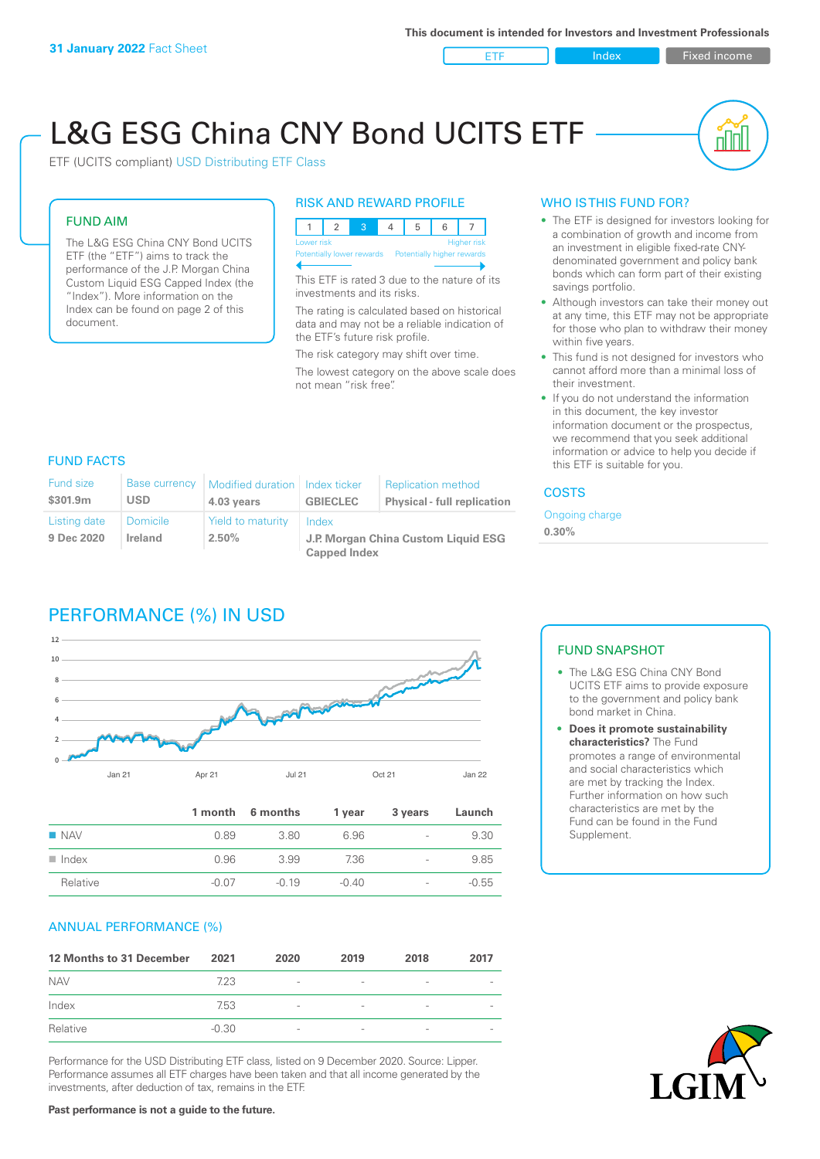ETF Index Fixed income

nn

# L&G ESG China CNY Bond UCITS ETF

ETF (UCITS compliant) USD Distributing ETF Class

### FUND AIM

The L&G ESG China CNY Bond UCITS ETF (the "ETF") aims to track the performance of the J.P. Morgan China Custom Liquid ESG Capped Index (the "Index"). More information on the Index can be found on page 2 of this document.

#### RISK AND REWARD PROFILE



This ETF is rated 3 due to the nature of its investments and its risks.

The rating is calculated based on historical data and may not be a reliable indication of the ETF's future risk profile.

The risk category may shift over time. The lowest category on the above scale does not mean "risk free".

### WHO IS THIS FUND FOR?

- The ETF is designed for investors looking for a combination of growth and income from an investment in eligible fixed-rate CNYdenominated government and policy bank bonds which can form part of their existing savings portfolio.
- Although investors can take their money out at any time, this ETF may not be appropriate for those who plan to withdraw their money within five years.
- This fund is not designed for investors who cannot afford more than a minimal loss of their investment.
- If you do not understand the information in this document, the key investor information document or the prospectus, we recommend that you seek additional information or advice to help you decide if this ETF is suitable for you.

### FUND FACTS

| <b>Fund size</b><br>\$301.9m | <b>Base currency</b><br><b>USD</b> | Modified duration   Index ticker<br>4.03 years | <b>GBIECLEC</b>                              | <b>Replication method</b><br><b>Physical - full replication</b> | <b>COSTS</b> |  |
|------------------------------|------------------------------------|------------------------------------------------|----------------------------------------------|-----------------------------------------------------------------|--------------|--|
| Listing date<br>9 Dec 2020   | Domicile<br><b>Ireland</b>         | Yield to maturity<br>$2.50\%$                  | Index<br>J.P. Morgan China Custom Liquid ESG | Ongoing charge<br>$0.30\%$                                      |              |  |
|                              |                                    |                                                | <b>Capped Index</b>                          |                                                                 |              |  |

# PERFORMANCE (%) IN USD



|                      |         | 1 month 6 months | 1 year  | 3 years                  | Launch  |
|----------------------|---------|------------------|---------|--------------------------|---------|
| $\blacksquare$ NAV   | 0.89    | 3.80             | 6.96    | $\overline{\phantom{a}}$ | 9.30    |
| $\blacksquare$ Index | 0.96    | 3.99             | 7.36    | $\overline{\phantom{0}}$ | 9.85    |
| Relative             | $-0.07$ | $-0.19$          | $-0.40$ | $\overline{\phantom{a}}$ | $-0.55$ |

### ANNUAL PERFORMANCE (%)

| 12 Months to 31 December | 2021    | 2020                     | 2019                     | 2018            | 2017 |
|--------------------------|---------|--------------------------|--------------------------|-----------------|------|
| <b>NAV</b>               | 7.23    | $\overline{\phantom{a}}$ | $\overline{\phantom{a}}$ | $\qquad \qquad$ |      |
| Index                    | 7.53    | $\overline{\phantom{a}}$ | $\qquad \qquad$          | $\qquad \qquad$ |      |
| Relative                 | $-0.30$ | $\overline{\phantom{a}}$ | $\overline{\phantom{0}}$ |                 |      |

Performance for the USD Distributing ETF class, listed on 9 December 2020. Source: Lipper. Performance assumes all ETF charges have been taken and that all income generated by the investments, after deduction of tax, remains in the ETF.

### FUND SNAPSHOT

- The L&G ESG China CNY Bond UCITS ETF aims to provide exposure to the government and policy bank bond market in China.
- **• Does it promote sustainability characteristics?** The Fund promotes a range of environmental and social characteristics which are met by tracking the Index. Further information on how such characteristics are met by the Fund can be found in the Fund Supplement.



**Past performance is not a guide to the future.**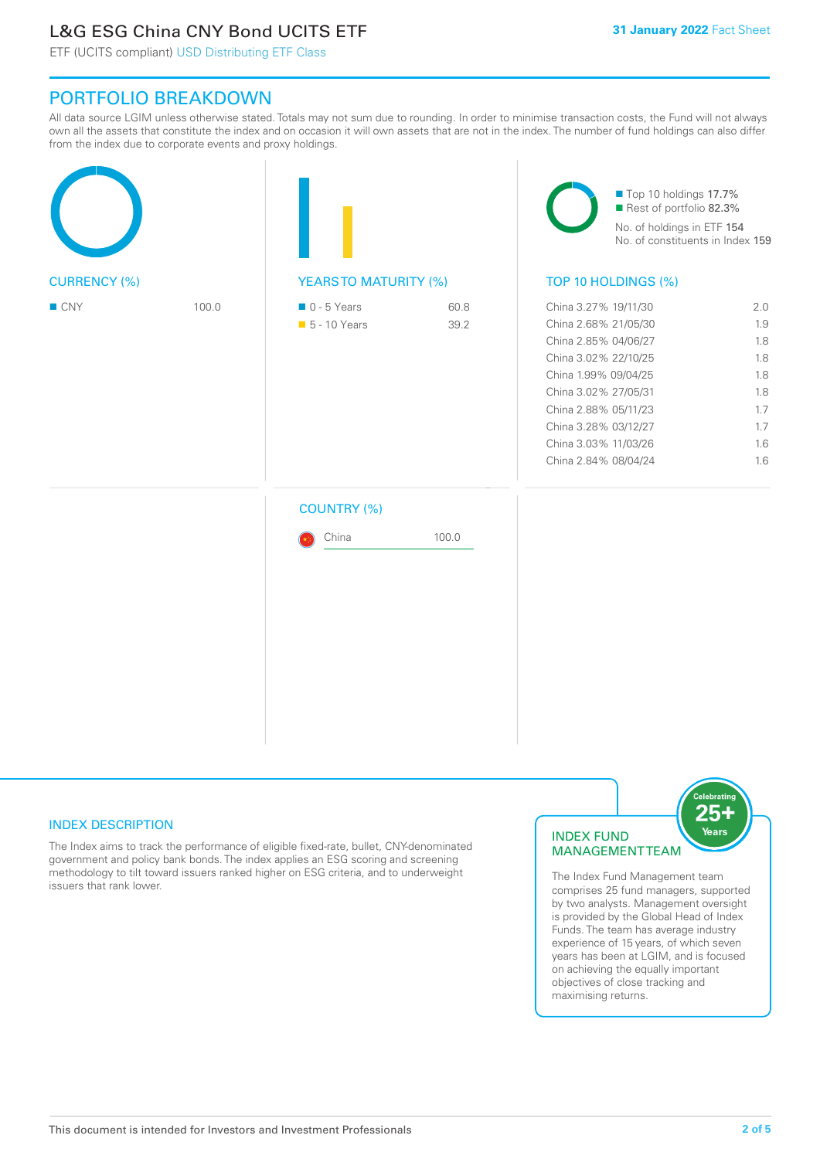# L&G ESG China CNY Bond UCITS ETF

ETF (UCITS compliant) USD Distributing ETF Class

## PORTFOLIO BREAKDOWN

All data source LGIM unless otherwise stated. Totals may not sum due to rounding. In order to minimise transaction costs, the Fund will not always own all the assets that constitute the index and on occasion it will own assets that are not in the index. The number of fund holdings can also differ from the index due to corporate events and proxy holdings.

|                     |       |                                              |              | Top 10 holdings 17.7%<br>Rest of portfolio 82.3%<br>No. of holdings in ETF 154<br>No. of constituents in Index 159                                                                                                                           |                                                                    |  |
|---------------------|-------|----------------------------------------------|--------------|----------------------------------------------------------------------------------------------------------------------------------------------------------------------------------------------------------------------------------------------|--------------------------------------------------------------------|--|
| <b>CURRENCY (%)</b> |       | <b>YEARSTO MATURITY (%)</b>                  |              | TOP 10 HOLDINGS (%)                                                                                                                                                                                                                          |                                                                    |  |
| ■ CNY               | 100.0 | $\blacksquare$ 0 - 5 Years<br>• 5 - 10 Years | 60.8<br>39.2 | China 3.27% 19/11/30<br>China 2.68% 21/05/30<br>China 2.85% 04/06/27<br>China 3.02% 22/10/25<br>China 1.99% 09/04/25<br>China 3.02% 27/05/31<br>China 2.88% 05/11/23<br>China 3.28% 03/12/27<br>China 3.03% 11/03/26<br>China 2.84% 08/04/24 | 2.0<br>1.9<br>1.8<br>1.8<br>1.8<br>1.8<br>1.7<br>1.7<br>1.6<br>1.6 |  |
|                     |       | <b>COUNTRY (%)</b>                           |              |                                                                                                                                                                                                                                              |                                                                    |  |
|                     |       | China                                        | 100.0        |                                                                                                                                                                                                                                              |                                                                    |  |
|                     |       |                                              |              |                                                                                                                                                                                                                                              |                                                                    |  |
|                     |       |                                              |              |                                                                                                                                                                                                                                              |                                                                    |  |

### INDEX DESCRIPTION

The Index aims to track the performance of eligible fixed-rate, bullet, CNY-denominated government and policy bank bonds. The index applies an ESG scoring and screening methodology to tilt toward issuers ranked higher on ESG criteria, and to underweight issuers that rank lower.

### INDEX FUND MANAGEMENT TEAM



The Index Fund Management team comprises 25 fund managers, supported by two analysts. Management oversight is provided by the Global Head of Index Funds. The team has average industry experience of 15 years, of which seven years has been at LGIM, and is focused on achieving the equally important objectives of close tracking and maximising returns.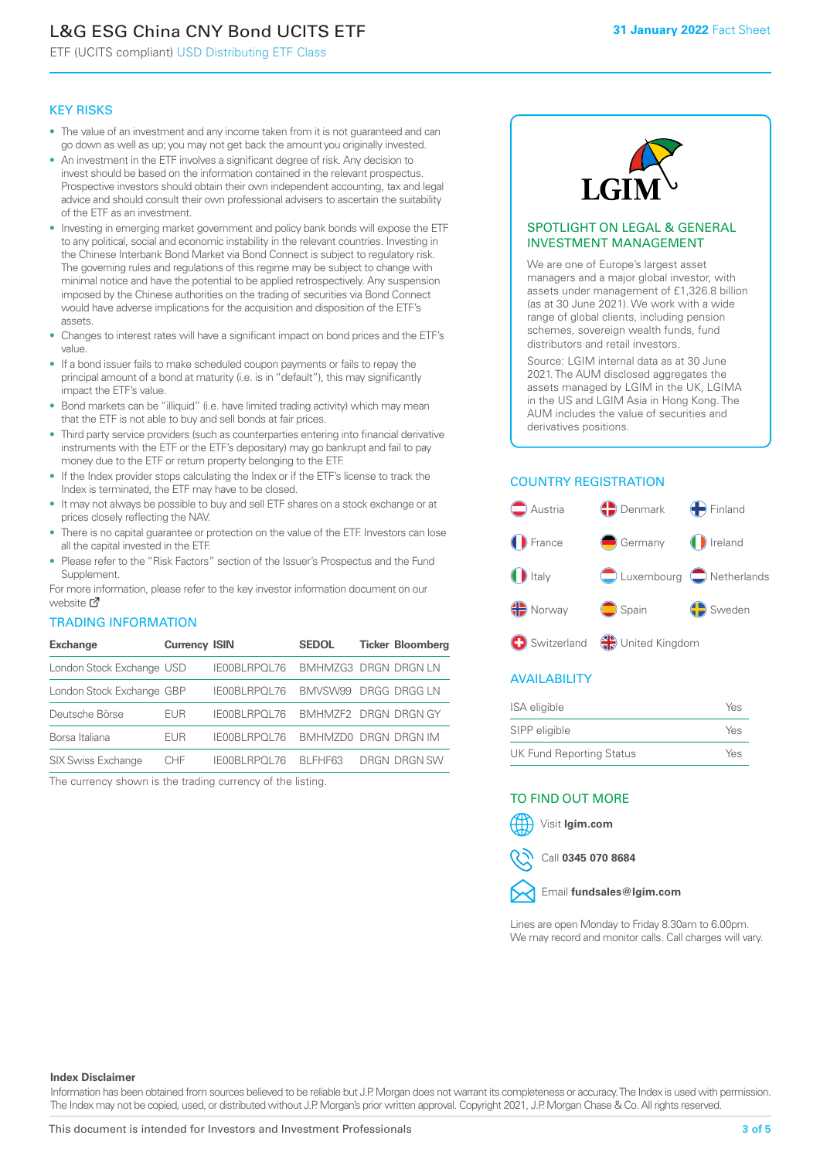# L&G ESG China CNY Bond UCITS ETF

ETF (UCITS compliant) USD Distributing ETF Class

#### KEY RISKS

- The value of an investment and any income taken from it is not guaranteed and can go down as well as up; you may not get back the amount you originally invested.
- An investment in the ETF involves a significant degree of risk. Any decision to invest should be based on the information contained in the relevant prospectus. Prospective investors should obtain their own independent accounting, tax and legal advice and should consult their own professional advisers to ascertain the suitability of the ETF as an investment.
- Investing in emerging market government and policy bank bonds will expose the ETF to any political, social and economic instability in the relevant countries. Investing in the Chinese Interbank Bond Market via Bond Connect is subject to regulatory risk. The governing rules and regulations of this regime may be subject to change with minimal notice and have the potential to be applied retrospectively. Any suspension imposed by the Chinese authorities on the trading of securities via Bond Connect would have adverse implications for the acquisition and disposition of the ETF's assets.
- Changes to interest rates will have a significant impact on bond prices and the ETF's value.
- If a bond issuer fails to make scheduled coupon payments or fails to repay the principal amount of a bond at maturity (i.e. is in "default"), this may significantly impact the ETF's value.
- Bond markets can be "illiquid" (i.e. have limited trading activity) which may mean that the ETF is not able to buy and sell bonds at fair prices.
- Third party service providers (such as counterparties entering into financial derivative instruments with the ETF or the ETF's depositary) may go bankrupt and fail to pay money due to the ETF or return property belonging to the ETF.
- If the Index provider stops calculating the Index or if the ETF's license to track the Index is terminated, the ETF may have to be closed.
- It may not always be possible to buy and sell ETF shares on a stock exchange or at prices closely reflecting the NAV.
- There is no capital guarantee or protection on the value of the ETF. Investors can lose all the capital invested in the ETF.
- Please refer to the "Risk Factors" section of the Issuer's Prospectus and the Fund Supplement.

For mo[re inf](https://www.lgimetf.com/)ormation, please refer to the key investor information document on our website M

### TRADING INFORMATION

| <b>Exchange</b>           | <b>Currency ISIN</b> |                       | <b>SEDOL</b>                | <b>Ticker Bloomberg</b> |
|---------------------------|----------------------|-----------------------|-----------------------------|-------------------------|
| London Stock Exchange USD |                      | IE00BLRPOL76          | <b>BMHMZG3 DRGN DRGN LN</b> |                         |
| London Stock Exchange GBP |                      | IE00BLRPOL76          | BMVSW99 DRGG DRGG LN        |                         |
| Deutsche Börse            | EUR                  | <b>IFOOBL RPOL 76</b> | BMHMZF2 DRGN DRGN GY        |                         |
| Borsa Italiana            | <b>EUR</b>           | IE00BLRPOL76          | BMHMZD0 DRGN DRGN IM        |                         |
| <b>SIX Swiss Exchange</b> | CHF.                 | IE00BLRPOL76          | BI FHF63                    | DRGN DRGN SW            |

The currency shown is the trading currency of the listing.



#### SPOTLIGHT ON LEGAL & GENERAL INVESTMENT MANAGEMENT

We are one of Europe's largest asset managers and a major global investor, with assets under management of £1,326.8 billion (as at 30 June 2021). We work with a wide range of global clients, including pension schemes, sovereign wealth funds, fund distributors and retail investors.

Source: LGIM internal data as at 30 June 2021. The AUM disclosed aggregates the assets managed by LGIM in the UK, LGIMA in the US and LGIM Asia in Hong Kong. The AUM includes the value of securities and derivatives positions.

### COUNTRY REGISTRATION



### AVAILABILITY

| <b>ISA</b> eligible             | Yes |
|---------------------------------|-----|
| SIPP eligible                   | Yes |
| <b>UK Fund Reporting Status</b> | Yes |

#### TO FIND OUT MORE





Call **0345 070 8684**



Lines are open Monday to Friday 8.30am to 6.00pm. We may record and monitor calls. Call charges will vary.

#### **Index Disclaimer**

Information has been obtained from sources believed to be reliable but J.P. Morgan does not warrant its completeness or accuracy. The Index is used with permission. The Index may not be copied, used, or distributed without J.P. Morgan's prior written approval. Copyright 2021, J.P. Morgan Chase & Co. All rights reserved.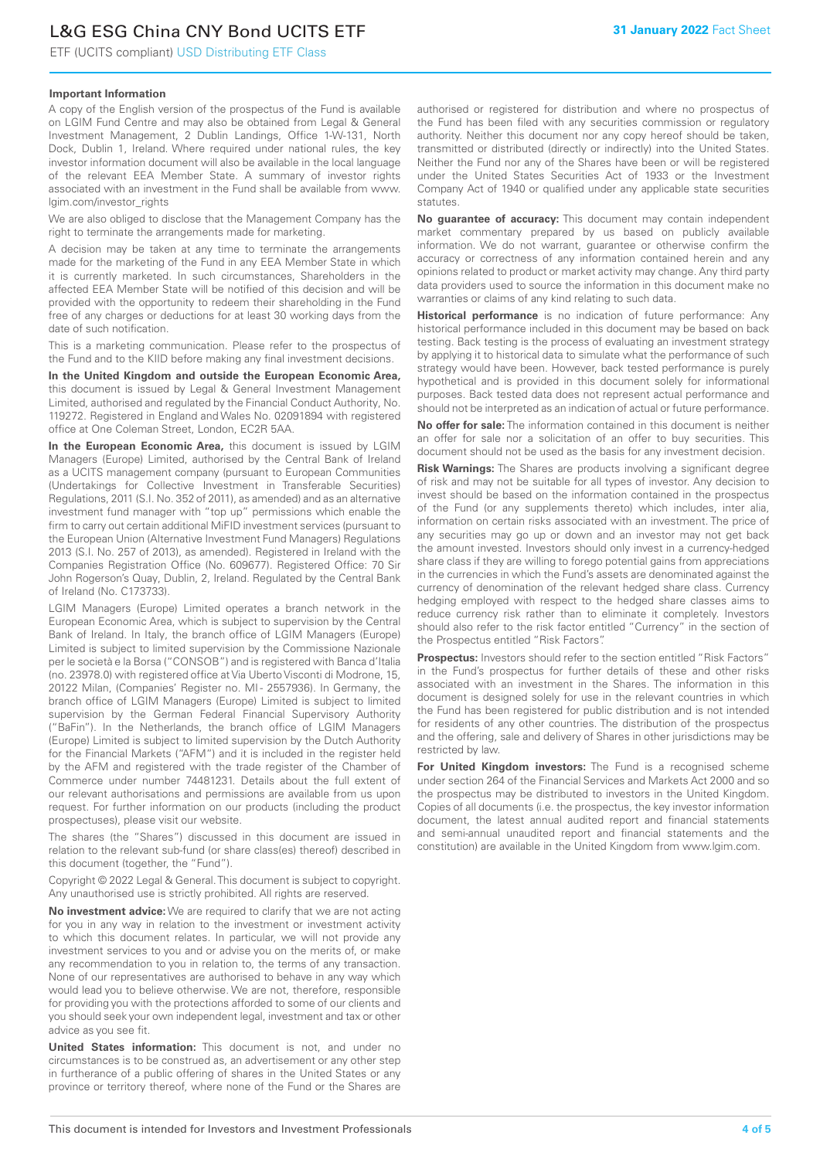# L&G ESG China CNY Bond UCITS ETF

ETF (UCITS compliant) USD Distributing ETF Class

### **Important Information**

A copy of the English version of the prospectus of the Fund is available on LGIM Fund Centre and may also be obtained from Legal & General Investment Management, 2 Dublin Landings, Office 1-W-131, North Dock, Dublin 1, Ireland. Where required under national rules, the key investor information document will also be available in the local language of the relevant EEA Member State. A summary of investor rights associated with an investment in the Fund shall be available from www. lgim.com/investor\_rights

We are also obliged to disclose that the Management Company has the right to terminate the arrangements made for marketing.

A decision may be taken at any time to terminate the arrangements made for the marketing of the Fund in any EEA Member State in which it is currently marketed. In such circumstances, Shareholders in the affected EEA Member State will be notified of this decision and will be provided with the opportunity to redeem their shareholding in the Fund free of any charges or deductions for at least 30 working days from the date of such notification.

This is a marketing communication. Please refer to the prospectus of the Fund and to the KIID before making any final investment decisions.

**In the United Kingdom and outside the European Economic Area,** this document is issued by Legal & General Investment Management Limited, authorised and regulated by the Financial Conduct Authority, No. 119272. Registered in England and Wales No. 02091894 with registered office at One Coleman Street, London, EC2R 5AA.

**In the European Economic Area,** this document is issued by LGIM Managers (Europe) Limited, authorised by the Central Bank of Ireland as a UCITS management company (pursuant to European Communities (Undertakings for Collective Investment in Transferable Securities) Regulations, 2011 (S.I. No. 352 of 2011), as amended) and as an alternative investment fund manager with "top up" permissions which enable the firm to carry out certain additional MiFID investment services (pursuant to the European Union (Alternative Investment Fund Managers) Regulations 2013 (S.I. No. 257 of 2013), as amended). Registered in Ireland with the Companies Registration Office (No. 609677). Registered Office: 70 Sir John Rogerson's Quay, Dublin, 2, Ireland. Regulated by the Central Bank of Ireland (No. C173733).

LGIM Managers (Europe) Limited operates a branch network in the European Economic Area, which is subject to supervision by the Central Bank of Ireland. In Italy, the branch office of LGIM Managers (Europe) Limited is subject to limited supervision by the Commissione Nazionale per le società e la Borsa ("CONSOB") and is registered with Banca d'Italia (no. 23978.0) with registered office at Via Uberto Visconti di Modrone, 15, 20122 Milan, (Companies' Register no. MI - 2557936). In Germany, the branch office of LGIM Managers (Europe) Limited is subject to limited supervision by the German Federal Financial Supervisory Authority ("BaFin"). In the Netherlands, the branch office of LGIM Managers (Europe) Limited is subject to limited supervision by the Dutch Authority for the Financial Markets ("AFM") and it is included in the register held by the AFM and registered with the trade register of the Chamber of Commerce under number 74481231. Details about the full extent of our relevant authorisations and permissions are available from us upon request. For further information on our products (including the product prospectuses), please visit our website.

The shares (the "Shares") discussed in this document are issued in relation to the relevant sub-fund (or share class(es) thereof) described in this document (together, the "Fund").

Copyright © 2022 Legal & General. This document is subject to copyright. Any unauthorised use is strictly prohibited. All rights are reserved.

**No investment advice:** We are required to clarify that we are not acting for you in any way in relation to the investment or investment activity to which this document relates. In particular, we will not provide any investment services to you and or advise you on the merits of, or make any recommendation to you in relation to, the terms of any transaction. None of our representatives are authorised to behave in any way which would lead you to believe otherwise. We are not, therefore, responsible for providing you with the protections afforded to some of our clients and you should seek your own independent legal, investment and tax or other advice as you see fit.

**United States information:** This document is not, and under no circumstances is to be construed as, an advertisement or any other step in furtherance of a public offering of shares in the United States or any province or territory thereof, where none of the Fund or the Shares are authorised or registered for distribution and where no prospectus of the Fund has been filed with any securities commission or regulatory authority. Neither this document nor any copy hereof should be taken, transmitted or distributed (directly or indirectly) into the United States. Neither the Fund nor any of the Shares have been or will be registered under the United States Securities Act of 1933 or the Investment Company Act of 1940 or qualified under any applicable state securities statutes.

**No guarantee of accuracy:** This document may contain independent market commentary prepared by us based on publicly available information. We do not warrant, guarantee or otherwise confirm the accuracy or correctness of any information contained herein and any opinions related to product or market activity may change. Any third party data providers used to source the information in this document make no warranties or claims of any kind relating to such data.

**Historical performance** is no indication of future performance: Any historical performance included in this document may be based on back testing. Back testing is the process of evaluating an investment strategy by applying it to historical data to simulate what the performance of such strategy would have been. However, back tested performance is purely hypothetical and is provided in this document solely for informational purposes. Back tested data does not represent actual performance and should not be interpreted as an indication of actual or future performance.

**No offer for sale:** The information contained in this document is neither an offer for sale nor a solicitation of an offer to buy securities. This document should not be used as the basis for any investment decision.

**Risk Warnings:** The Shares are products involving a significant degree of risk and may not be suitable for all types of investor. Any decision to invest should be based on the information contained in the prospectus of the Fund (or any supplements thereto) which includes, inter alia, information on certain risks associated with an investment. The price of any securities may go up or down and an investor may not get back the amount invested. Investors should only invest in a currency-hedged share class if they are willing to forego potential gains from appreciations in the currencies in which the Fund's assets are denominated against the currency of denomination of the relevant hedged share class. Currency hedging employed with respect to the hedged share classes aims to reduce currency risk rather than to eliminate it completely. Investors should also refer to the risk factor entitled "Currency" in the section of the Prospectus entitled "Risk Factors".

**Prospectus:** Investors should refer to the section entitled "Risk Factors" in the Fund's prospectus for further details of these and other risks associated with an investment in the Shares. The information in this document is designed solely for use in the relevant countries in which the Fund has been registered for public distribution and is not intended for residents of any other countries. The distribution of the prospectus and the offering, sale and delivery of Shares in other jurisdictions may be restricted by law.

**For United Kingdom investors:** The Fund is a recognised scheme under section 264 of the Financial Services and Markets Act 2000 and so the prospectus may be distributed to investors in the United Kingdom. Copies of all documents (i.e. the prospectus, the key investor information document, the latest annual audited report and financial statements and semi-annual unaudited report and financial statements and the constitution) are available in the United Kingdom from www.lgim.com.